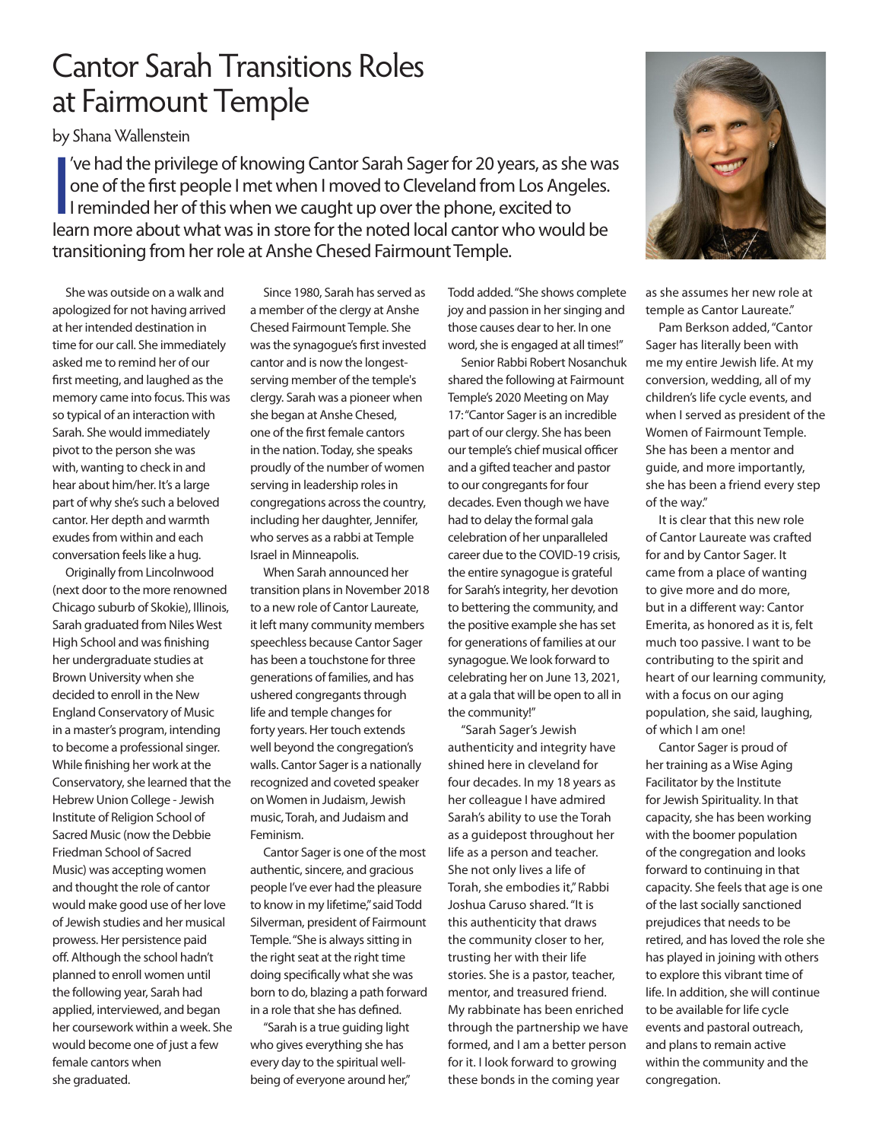## Cantor Sarah Transitions Roles at Fairmount Temple

by Shana Wallenstein

 $\frac{1}{2}$ 've had the privilege of knowing Cantor Sarah Sager for 20 years, as she was one of the first people I met when I moved to Cleveland from Los Angeles. I reminded her of this when we caught up over the phone, excited to learn more about what was in store for the noted local cantor who would be transitioning from her role at Anshe Chesed Fairmount Temple.

She was outside on a walk and apologized for not having arrived at her intended destination in time for our call. She immediately asked me to remind her of our first meeting, and laughed as the memory came into focus. This was so typical of an interaction with Sarah. She would immediately pivot to the person she was with, wanting to check in and hear about him/her. It's a large part of why she's such a beloved cantor. Her depth and warmth exudes from within and each conversation feels like a hug.

Originally from Lincolnwood (next door to the more renowned Chicago suburb of Skokie), Illinois, Sarah graduated from Niles West High School and was finishing her undergraduate studies at Brown University when she decided to enroll in the New England Conservatory of Music in a master's program, intending to become a professional singer. While finishing her work at the Conservatory, she learned that the Hebrew Union College - Jewish Institute of Religion School of Sacred Music (now the Debbie Friedman School of Sacred Music) was accepting women and thought the role of cantor would make good use of her love of Jewish studies and her musical prowess. Her persistence paid off. Although the school hadn't planned to enroll women until the following year, Sarah had applied, interviewed, and began her coursework within a week. She would become one of just a few female cantors when she graduated.

Since 1980, Sarah has served as a member of the clergy at Anshe Chesed Fairmount Temple. She was the synagogue's first invested cantor and is now the longestserving member of the temple's clergy. Sarah was a pioneer when she began at Anshe Chesed, one of the first female cantors in the nation. Today, she speaks proudly of the number of women serving in leadership roles in congregations across the country, including her daughter, Jennifer, who serves as a rabbi at Temple Israel in Minneapolis.

When Sarah announced her transition plans in November 2018 to a new role of Cantor Laureate, it left many community members speechless because Cantor Sager has been a touchstone for three generations of families, and has ushered congregants through life and temple changes for forty years. Her touch extends well beyond the congregation's walls. Cantor Sager is a nationally recognized and coveted speaker on Women in Judaism, Jewish music, Torah, and Judaism and Feminism.

Cantor Sager is one of the most authentic, sincere, and gracious people I've ever had the pleasure to know in my lifetime," said Todd Silverman, president of Fairmount Temple. "She is always sitting in the right seat at the right time doing specifically what she was born to do, blazing a path forward in a role that she has defined.

"Sarah is a true guiding light who gives everything she has every day to the spiritual wellbeing of everyone around her,"

Todd added. "She shows complete joy and passion in her singing and those causes dear to her. In one word, she is engaged at all times!"

Senior Rabbi Robert Nosanchuk shared the following at Fairmount Temple's 2020 Meeting on May 17: "Cantor Sager is an incredible part of our clergy. She has been our temple's chief musical officer and a gifted teacher and pastor to our congregants for four decades. Even though we have had to delay the formal gala celebration of her unparalleled career due to the COVID-19 crisis, the entire synagogue is grateful for Sarah's integrity, her devotion to bettering the community, and the positive example she has set for generations of families at our synagogue. We look forward to celebrating her on June 13, 2021, at a gala that will be open to all in the community!"

"Sarah Sager's Jewish authenticity and integrity have shined here in cleveland for four decades. In my 18 years as her colleague I have admired Sarah's ability to use the Torah as a guidepost throughout her life as a person and teacher. She not only lives a life of Torah, she embodies it," Rabbi Joshua Caruso shared. "It is this authenticity that draws the community closer to her, trusting her with their life stories. She is a pastor, teacher, mentor, and treasured friend. My rabbinate has been enriched through the partnership we have formed, and I am a better person for it. I look forward to growing these bonds in the coming year



as she assumes her new role at temple as Cantor Laureate."

Pam Berkson added, "Cantor Sager has literally been with me my entire Jewish life. At my conversion, wedding, all of my children's life cycle events, and when I served as president of the Women of Fairmount Temple. She has been a mentor and guide, and more importantly, she has been a friend every step of the way."

It is clear that this new role of Cantor Laureate was crafted for and by Cantor Sager. It came from a place of wanting to give more and do more, but in a different way: Cantor Emerita, as honored as it is, felt much too passive. I want to be contributing to the spirit and heart of our learning community, with a focus on our aging population, she said, laughing, of which I am one!

Cantor Sager is proud of her training as a Wise Aging Facilitator by the Institute for Jewish Spirituality. In that capacity, she has been working with the boomer population of the congregation and looks forward to continuing in that capacity. She feels that age is one of the last socially sanctioned prejudices that needs to be retired, and has loved the role she has played in joining with others to explore this vibrant time of life. In addition, she will continue to be available for life cycle events and pastoral outreach, and plans to remain active within the community and the congregation.